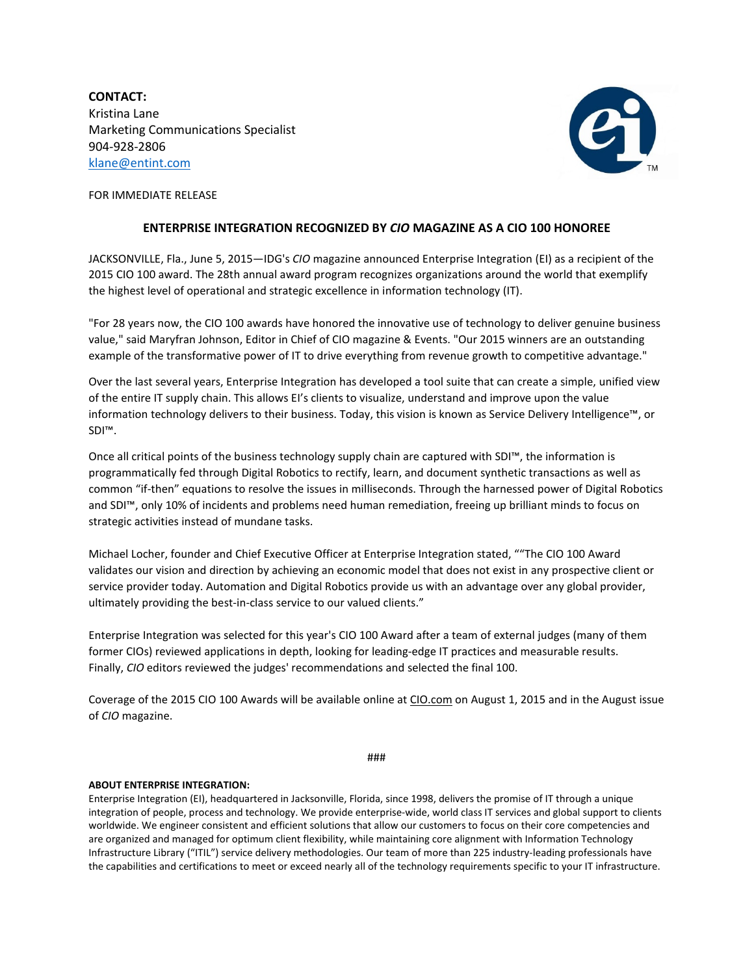**CONTACT:** Kristina Lane Marketing Communications Specialist 904-928-2806 [klane@entint.com](mailto:klane@entint.com)



FOR IMMEDIATE RELEASE

## **ENTERPRISE INTEGRATION RECOGNIZED BY** *CIO* **MAGAZINE AS A CIO 100 HONOREE**

JACKSONVILLE, Fla., June 5, 2015—IDG's *CIO* [magazine](http://www.cio.com/) announced Enterprise Integration (EI) as a recipient of the 2015 CIO 100 award. The 28th annual award program recognizes organizations around the world that exemplify the highest level of operational and strategic excellence in information technology (IT).

"For 28 years now, the CIO 100 awards have honored the innovative use of technology to deliver genuine business value," said Maryfran Johnson, Editor in Chief of CIO magazine & Events. "Our 2015 winners are an outstanding example of the transformative power of IT to drive everything from revenue growth to competitive advantage."

Over the last several years, Enterprise Integration has developed a tool suite that can create a simple, unified view of the entire IT supply chain. This allows EI's clients to visualize, understand and improve upon the value information technology delivers to their business. Today, this vision is known as Service Delivery Intelligence™, or SDI™.

Once all critical points of the business technology supply chain are captured with SDI™, the information is programmatically fed through Digital Robotics to rectify, learn, and document synthetic transactions as well as common "if-then" equations to resolve the issues in milliseconds. Through the harnessed power of Digital Robotics and SDI™, only 10% of incidents and problems need human remediation, freeing up brilliant minds to focus on strategic activities instead of mundane tasks.

Michael Locher, founder and Chief Executive Officer at Enterprise Integration stated, ""The CIO 100 Award validates our vision and direction by achieving an economic model that does not exist in any prospective client or service provider today. Automation and Digital Robotics provide us with an advantage over any global provider, ultimately providing the best-in-class service to our valued clients."

Enterprise Integration was selected for this year's CIO 100 Award after a team of external judges (many of them former CIOs) reviewed applications in depth, looking for leading-edge IT practices and measurable results. Finally, *CIO* editors reviewed the judges' recommendations and selected the final 100.

Coverage of the 2015 CIO 100 Awards will be available online at [CIO.com](http://bit.ly/cio_cio100pr) on August 1, 2015 and in the August issue of *CIO* magazine.

###

## **ABOUT ENTERPRISE INTEGRATION:**

Enterprise Integration (EI), headquartered in Jacksonville, Florida, since 1998, delivers the promise of IT through a unique integration of people, process and technology. We provide enterprise-wide, world class IT services and global support to clients worldwide. We engineer consistent and efficient solutions that allow our customers to focus on their core competencies and are organized and managed for optimum client flexibility, while maintaining core alignment with Information Technology Infrastructure Library ("ITIL") service delivery methodologies. Our team of more than 225 industry-leading professionals have the capabilities and certifications to meet or exceed nearly all of the technology requirements specific to your IT infrastructure.